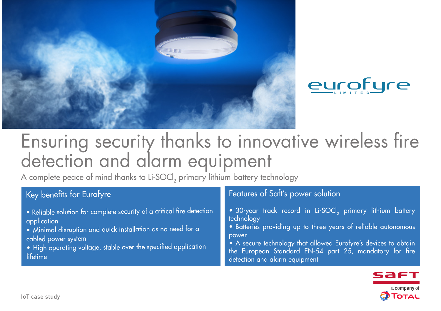



# Ensuring security thanks to innovative wireless fire detection and alarm equipment

A complete peace of mind thanks to Li-SOCl<sub>2</sub> primary lithium battery technology

# Key benefits for Eurofyre

- Reliable solution for complete security of a critical fire detection application
- Minimal disruption and quick installation as no need for a cabled power system
- High operating voltage, stable over the specified application lifetime

## Features of Saft's power solution

- 30-year track record in Li-SOCl<sub>2</sub> primary lithium battery technology
- Batteries providing up to three years of reliable autonomous power
- A secure technology that allowed Eurofyre's devices to obtain the European Standard EN-54 part 25, mandatory for fire detection and alarm equipment